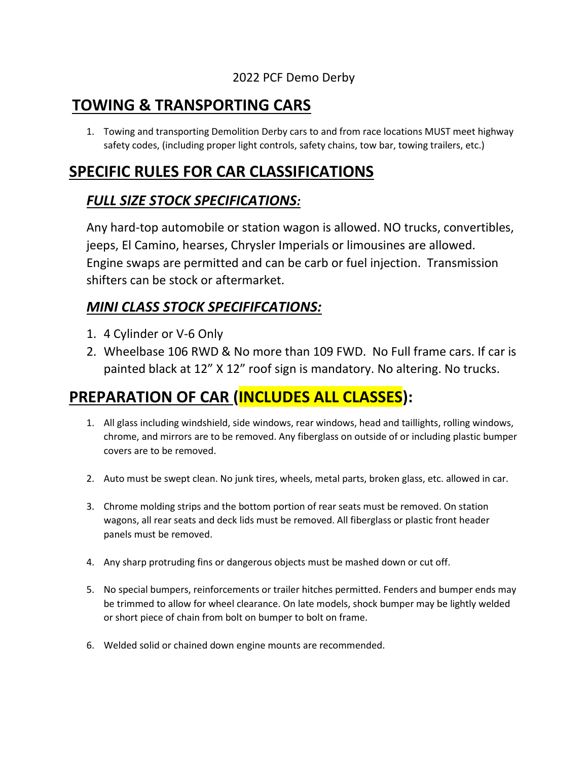#### 2022 PCF Demo Derby

## **TOWING & TRANSPORTING CARS**

1. Towing and transporting Demolition Derby cars to and from race locations MUST meet highway safety codes, (including proper light controls, safety chains, tow bar, towing trailers, etc.)

## **SPECIFIC RULES FOR CAR CLASSIFICATIONS**

#### *FULL SIZE STOCK SPECIFICATIONS:*

Any hard-top automobile or station wagon is allowed. NO trucks, convertibles, jeeps, El Camino, hearses, Chrysler Imperials or limousines are allowed. Engine swaps are permitted and can be carb or fuel injection. Transmission shifters can be stock or aftermarket.

### *MINI CLASS STOCK SPECIFIFCATIONS:*

- 1. 4 Cylinder or V-6 Only
- 2. Wheelbase 106 RWD & No more than 109 FWD. No Full frame cars. If car is painted black at 12" X 12" roof sign is mandatory. No altering. No trucks.

# **PREPARATION OF CAR (INCLUDES ALL CLASSES):**

- 1. All glass including windshield, side windows, rear windows, head and taillights, rolling windows, chrome, and mirrors are to be removed. Any fiberglass on outside of or including plastic bumper covers are to be removed.
- 2. Auto must be swept clean. No junk tires, wheels, metal parts, broken glass, etc. allowed in car.
- 3. Chrome molding strips and the bottom portion of rear seats must be removed. On station wagons, all rear seats and deck lids must be removed. All fiberglass or plastic front header panels must be removed.
- 4. Any sharp protruding fins or dangerous objects must be mashed down or cut off.
- 5. No special bumpers, reinforcements or trailer hitches permitted. Fenders and bumper ends may be trimmed to allow for wheel clearance. On late models, shock bumper may be lightly welded or short piece of chain from bolt on bumper to bolt on frame.
- 6. Welded solid or chained down engine mounts are recommended.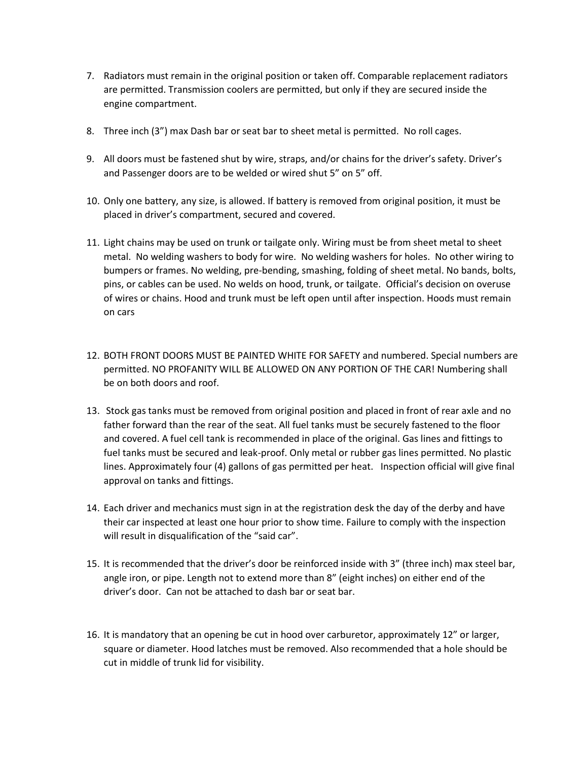- 7. Radiators must remain in the original position or taken off. Comparable replacement radiators are permitted. Transmission coolers are permitted, but only if they are secured inside the engine compartment.
- 8. Three inch (3") max Dash bar or seat bar to sheet metal is permitted. No roll cages.
- 9. All doors must be fastened shut by wire, straps, and/or chains for the driver's safety. Driver's and Passenger doors are to be welded or wired shut 5" on 5" off.
- 10. Only one battery, any size, is allowed. If battery is removed from original position, it must be placed in driver's compartment, secured and covered.
- 11. Light chains may be used on trunk or tailgate only. Wiring must be from sheet metal to sheet metal. No welding washers to body for wire. No welding washers for holes. No other wiring to bumpers or frames. No welding, pre-bending, smashing, folding of sheet metal. No bands, bolts, pins, or cables can be used. No welds on hood, trunk, or tailgate. Official's decision on overuse of wires or chains. Hood and trunk must be left open until after inspection. Hoods must remain on cars
- 12. BOTH FRONT DOORS MUST BE PAINTED WHITE FOR SAFETY and numbered. Special numbers are permitted. NO PROFANITY WILL BE ALLOWED ON ANY PORTION OF THE CAR! Numbering shall be on both doors and roof.
- 13. Stock gas tanks must be removed from original position and placed in front of rear axle and no father forward than the rear of the seat. All fuel tanks must be securely fastened to the floor and covered. A fuel cell tank is recommended in place of the original. Gas lines and fittings to fuel tanks must be secured and leak-proof. Only metal or rubber gas lines permitted. No plastic lines. Approximately four (4) gallons of gas permitted per heat. Inspection official will give final approval on tanks and fittings.
- 14. Each driver and mechanics must sign in at the registration desk the day of the derby and have their car inspected at least one hour prior to show time. Failure to comply with the inspection will result in disqualification of the "said car".
- 15. It is recommended that the driver's door be reinforced inside with 3" (three inch) max steel bar, angle iron, or pipe. Length not to extend more than 8" (eight inches) on either end of the driver's door. Can not be attached to dash bar or seat bar.
- 16. It is mandatory that an opening be cut in hood over carburetor, approximately 12" or larger, square or diameter. Hood latches must be removed. Also recommended that a hole should be cut in middle of trunk lid for visibility.